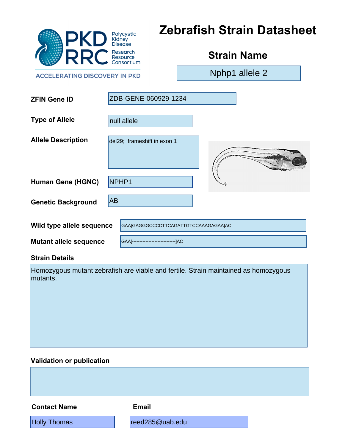|                                                                                                 |                      | <b>Zebrafish Strain Datasheet</b><br>Polycystic<br>Kidney<br>Disease |  |  |                    |  |
|-------------------------------------------------------------------------------------------------|----------------------|----------------------------------------------------------------------|--|--|--------------------|--|
| PKD<br>RRC                                                                                      | Research<br>Resource | Consortium                                                           |  |  | <b>Strain Name</b> |  |
| <b>ACCELERATING DISCOVERY IN PKD</b>                                                            |                      |                                                                      |  |  | Nphp1 allele 2     |  |
| <b>ZFIN Gene ID</b>                                                                             |                      | ZDB-GENE-060929-1234                                                 |  |  |                    |  |
| <b>Type of Allele</b>                                                                           |                      | null allele                                                          |  |  |                    |  |
| <b>Allele Description</b>                                                                       |                      | del29; frameshift in exon 1                                          |  |  |                    |  |
| Human Gene (HGNC)                                                                               | NPHP1                |                                                                      |  |  |                    |  |
| <b>Genetic Background</b>                                                                       | <b>AB</b>            |                                                                      |  |  |                    |  |
| Wild type allele sequence                                                                       |                      | GAA[GAGGGCCCCTTCAGATTGTCCAAAGAGAA]AC                                 |  |  |                    |  |
| <b>Mutant allele sequence</b>                                                                   |                      | GAA[------------------------------]AC                                |  |  |                    |  |
| <b>Strain Details</b>                                                                           |                      |                                                                      |  |  |                    |  |
| Homozygous mutant zebrafish are viable and fertile. Strain maintained as homozygous<br>mutants. |                      |                                                                      |  |  |                    |  |

# **Validation or publication**

| Mutant allele sequence    | GAA[------------------------------]AC                                               |
|---------------------------|-------------------------------------------------------------------------------------|
| <b>Strain Details</b>     |                                                                                     |
| mutants.                  | Homozygous mutant zebrafish are viable and fertile. Strain maintained as homozygous |
| Validation or publication |                                                                                     |
|                           |                                                                                     |
| <b>Contact Name</b>       | <b>Email</b>                                                                        |
| <b>Holly Thomas</b>       | reed285@uab.edu                                                                     |